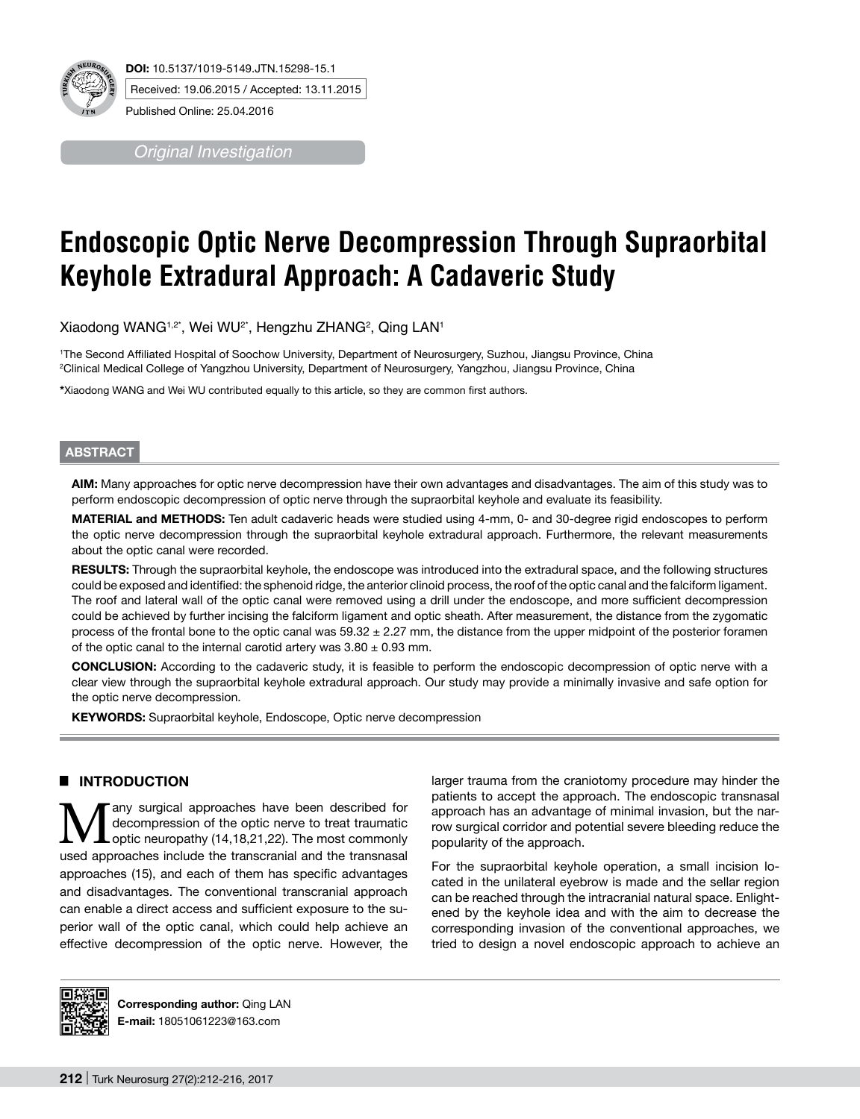

*Original Investigation*

# **Endoscopic Optic Nerve Decompression Through Supraorbital Keyhole Extradural Approach: A Cadaveric Study**

Xiaodong WANG1,2\*, Wei WU2\*, Hengzhu ZHANG2 , Qing LAN1

1 The Second Affiliated Hospital of Soochow University, Department of Neurosurgery, Suzhou, Jiangsu Province, China 2 Clinical Medical College of Yangzhou University, Department of Neurosurgery, Yangzhou, Jiangsu Province, China

**\***Xiaodong WANG and Wei WU contributed equally to this article, so they are common first authors.

#### **ABSTRACT**

**AIm:** Many approaches for optic nerve decompression have their own advantages and disadvantages. The aim of this study was to perform endoscopic decompression of optic nerve through the supraorbital keyhole and evaluate its feasibility.

**MaterIal and Methods:** Ten adult cadaveric heads were studied using 4-mm, 0- and 30-degree rigid endoscopes to perform the optic nerve decompression through the supraorbital keyhole extradural approach. Furthermore, the relevant measurements about the optic canal were recorded.

RESULTS: Through the supraorbital keyhole, the endoscope was introduced into the extradural space, and the following structures could be exposed and identified: the sphenoid ridge, the anterior clinoid process, the roof of the optic canal and the falciform ligament. The roof and lateral wall of the optic canal were removed using a drill under the endoscope, and more sufficient decompression could be achieved by further incising the falciform ligament and optic sheath. After measurement, the distance from the zygomatic process of the frontal bone to the optic canal was 59.32 ± 2.27 mm, the distance from the upper midpoint of the posterior foramen of the optic canal to the internal carotid artery was  $3.80 \pm 0.93$  mm.

**ConclusIon:** According to the cadaveric study, it is feasible to perform the endoscopic decompression of optic nerve with a clear view through the supraorbital keyhole extradural approach. Our study may provide a minimally invasive and safe option for the optic nerve decompression.

**KEYWORDS:** Supraorbital keyhole, Endoscope, Optic nerve decompression

# █ **INTRODUCTION**

any surgical approaches have been described for decompression of the optic nerve to treat traumatic optic neuropathy (14,18,21,22). The most commonly used approaches include the transcranial and the transnasal approaches (15), and each of them has specific advantages and disadvantages. The conventional transcranial approach can enable a direct access and sufficient exposure to the superior wall of the optic canal, which could help achieve an effective decompression of the optic nerve. However, the larger trauma from the craniotomy procedure may hinder the patients to accept the approach. The endoscopic transnasal approach has an advantage of minimal invasion, but the narrow surgical corridor and potential severe bleeding reduce the popularity of the approach.

For the supraorbital keyhole operation, a small incision located in the unilateral eyebrow is made and the sellar region can be reached through the intracranial natural space. Enlightened by the keyhole idea and with the aim to decrease the corresponding invasion of the conventional approaches, we tried to design a novel endoscopic approach to achieve an



**Corresponding author:** Qing LAN **E-mail:** 18051061223@163.com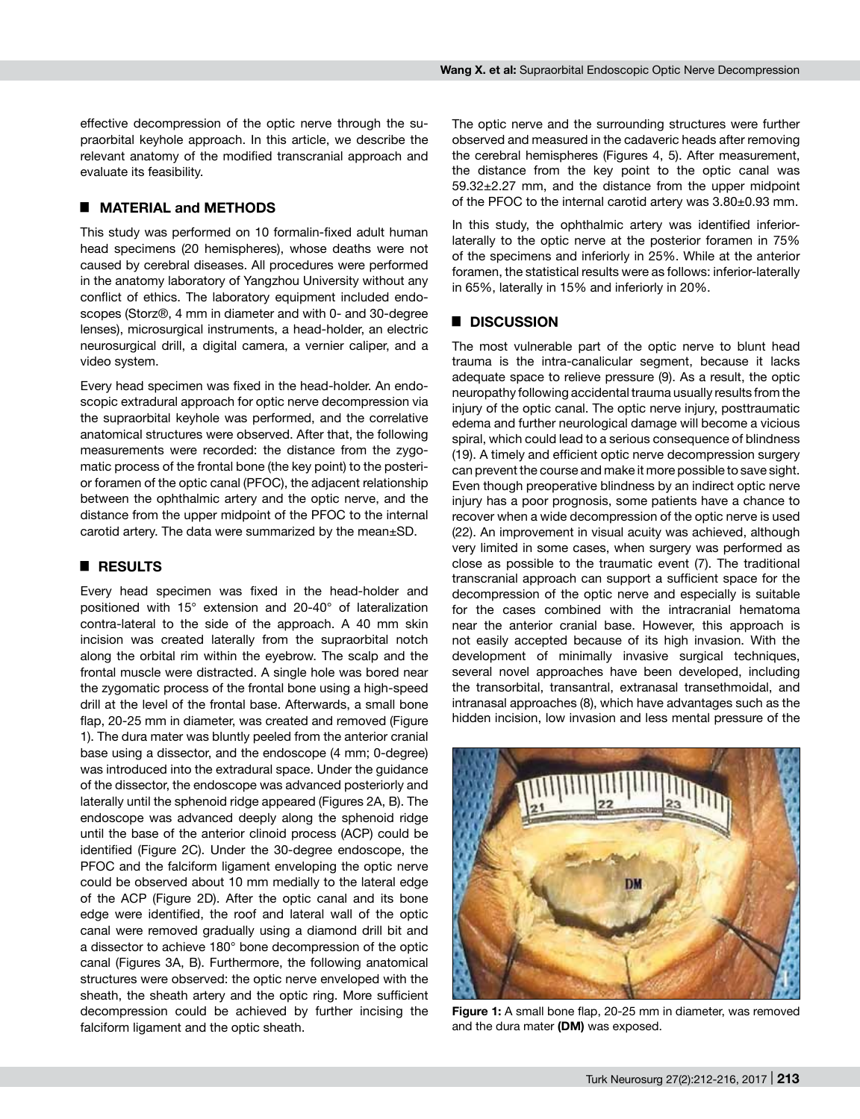effective decompression of the optic nerve through the supraorbital keyhole approach. In this article, we describe the relevant anatomy of the modified transcranial approach and evaluate its feasibility.

### █ **MATERIAL and METHODS**

This study was performed on 10 formalin-fixed adult human head specimens (20 hemispheres), whose deaths were not caused by cerebral diseases. All procedures were performed in the anatomy laboratory of Yangzhou University without any conflict of ethics. The laboratory equipment included endoscopes (Storz®, 4 mm in diameter and with 0- and 30-degree lenses), microsurgical instruments, a head-holder, an electric neurosurgical drill, a digital camera, a vernier caliper, and a video system.

Every head specimen was fixed in the head-holder. An endoscopic extradural approach for optic nerve decompression via the supraorbital keyhole was performed, and the correlative anatomical structures were observed. After that, the following measurements were recorded: the distance from the zygomatic process of the frontal bone (the key point) to the posterior foramen of the optic canal (PFOC), the adjacent relationship between the ophthalmic artery and the optic nerve, and the distance from the upper midpoint of the PFOC to the internal carotid artery. The data were summarized by the mean±SD.

### █ **RESULTS**

Every head specimen was fixed in the head-holder and positioned with 15° extension and 20-40° of lateralization contra-lateral to the side of the approach. A 40 mm skin incision was created laterally from the supraorbital notch along the orbital rim within the eyebrow. The scalp and the frontal muscle were distracted. A single hole was bored near the zygomatic process of the frontal bone using a high-speed drill at the level of the frontal base. Afterwards, a small bone flap, 20-25 mm in diameter, was created and removed (Figure 1). The dura mater was bluntly peeled from the anterior cranial base using a dissector, and the endoscope (4 mm; 0-degree) was introduced into the extradural space. Under the guidance of the dissector, the endoscope was advanced posteriorly and laterally until the sphenoid ridge appeared (Figures 2A, B). The endoscope was advanced deeply along the sphenoid ridge until the base of the anterior clinoid process (ACP) could be identified (Figure 2C). Under the 30-degree endoscope, the PFOC and the falciform ligament enveloping the optic nerve could be observed about 10 mm medially to the lateral edge of the ACP (Figure 2D). After the optic canal and its bone edge were identified, the roof and lateral wall of the optic canal were removed gradually using a diamond drill bit and a dissector to achieve 180° bone decompression of the optic canal (Figures 3A, B). Furthermore, the following anatomical structures were observed: the optic nerve enveloped with the sheath, the sheath artery and the optic ring. More sufficient decompression could be achieved by further incising the falciform ligament and the optic sheath.

The optic nerve and the surrounding structures were further observed and measured in the cadaveric heads after removing the cerebral hemispheres (Figures 4, 5). After measurement, the distance from the key point to the optic canal was 59.32±2.27 mm, and the distance from the upper midpoint of the PFOC to the internal carotid artery was 3.80±0.93 mm.

In this study, the ophthalmic artery was identified inferiorlaterally to the optic nerve at the posterior foramen in 75% of the specimens and inferiorly in 25%. While at the anterior foramen, the statistical results were as follows: inferior-laterally in 65%, laterally in 15% and inferiorly in 20%.

### █ **DISCUSSION**

The most vulnerable part of the optic nerve to blunt head trauma is the intra-canalicular segment, because it lacks adequate space to relieve pressure (9). As a result, the optic neuropathy following accidental trauma usually results from the injury of the optic canal. The optic nerve injury, posttraumatic edema and further neurological damage will become a vicious spiral, which could lead to a serious consequence of blindness (19). A timely and efficient optic nerve decompression surgery can prevent the course and make it more possible to save sight. Even though preoperative blindness by an indirect optic nerve injury has a poor prognosis, some patients have a chance to recover when a wide decompression of the optic nerve is used (22). An improvement in visual acuity was achieved, although very limited in some cases, when surgery was performed as close as possible to the traumatic event (7). The traditional transcranial approach can support a sufficient space for the decompression of the optic nerve and especially is suitable for the cases combined with the intracranial hematoma near the anterior cranial base. However, this approach is not easily accepted because of its high invasion. With the development of minimally invasive surgical techniques, several novel approaches have been developed, including the transorbital, transantral, extranasal transethmoidal, and intranasal approaches (8), which have advantages such as the hidden incision, low invasion and less mental pressure of the



**Figure 1:** A small bone flap, 20-25 mm in diameter, was removed and the dura mater **(DM)** was exposed.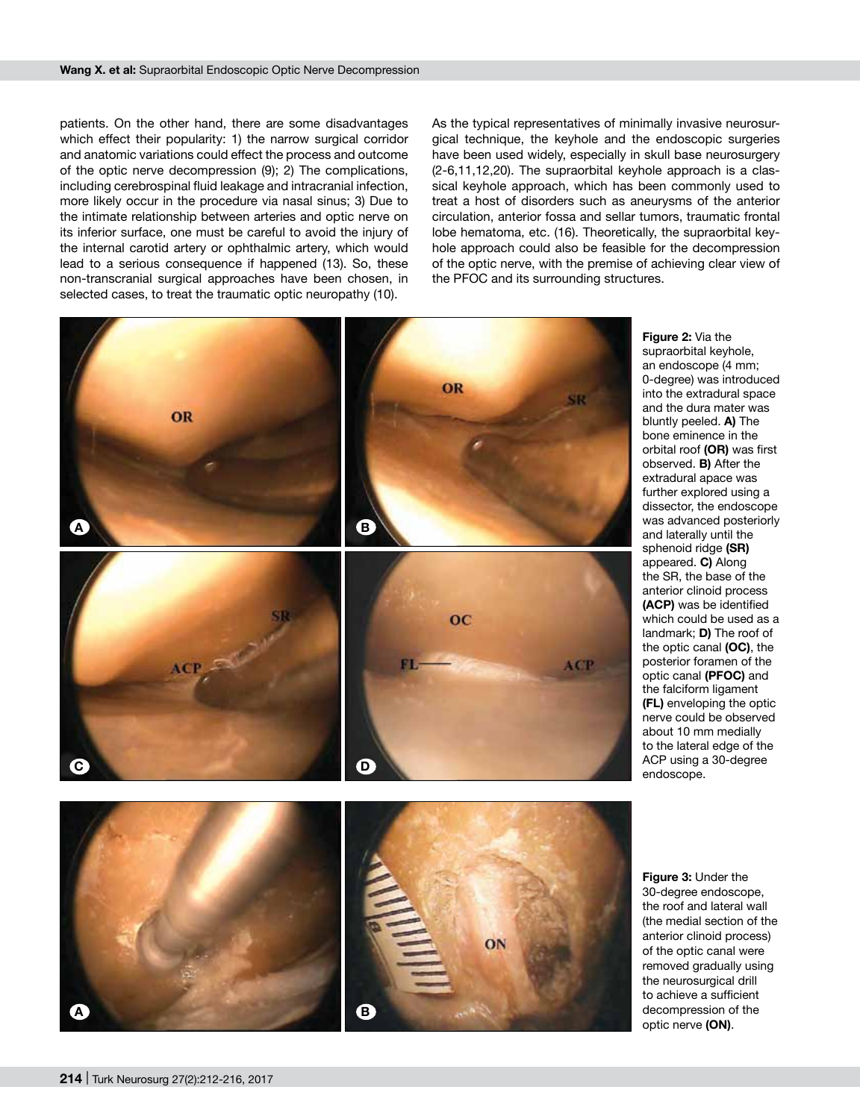patients. On the other hand, there are some disadvantages which effect their popularity: 1) the narrow surgical corridor and anatomic variations could effect the process and outcome of the optic nerve decompression (9); 2) The complications, including cerebrospinal fluid leakage and intracranial infection, more likely occur in the procedure via nasal sinus; 3) Due to the intimate relationship between arteries and optic nerve on its inferior surface, one must be careful to avoid the injury of the internal carotid artery or ophthalmic artery, which would lead to a serious consequence if happened (13). So, these non-transcranial surgical approaches have been chosen, in selected cases, to treat the traumatic optic neuropathy (10).

As the typical representatives of minimally invasive neurosurgical technique, the keyhole and the endoscopic surgeries have been used widely, especially in skull base neurosurgery (2-6,11,12,20). The supraorbital keyhole approach is a classical keyhole approach, which has been commonly used to treat a host of disorders such as aneurysms of the anterior circulation, anterior fossa and sellar tumors, traumatic frontal lobe hematoma, etc. (16). Theoretically, the supraorbital keyhole approach could also be feasible for the decompression of the optic nerve, with the premise of achieving clear view of the PFOC and its surrounding structures.



**Figure 2:** Via the supraorbital keyhole, an endoscope (4 mm; 0-degree) was introduced into the extradural space and the dura mater was bluntly peeled. **A)** The bone eminence in the orbital roof **(OR)** was first observed. **B)** After the extradural apace was further explored using a dissector, the endoscope was advanced posteriorly and laterally until the sphenoid ridge **(SR)** appeared. **C)** Along the SR, the base of the anterior clinoid process **(ACP)** was be identified which could be used as a landmark; **D)** The roof of the optic canal **(OC)**, the posterior foramen of the optic canal **(PFOC)** and the falciform ligament **(FL)** enveloping the optic nerve could be observed about 10 mm medially to the lateral edge of the ACP using a 30-degree endoscope.



**Figure 3:** Under the 30-degree endoscope, the roof and lateral wall (the medial section of the anterior clinoid process) of the optic canal were removed gradually using the neurosurgical drill to achieve a sufficient decompression of the optic nerve **(ON)**.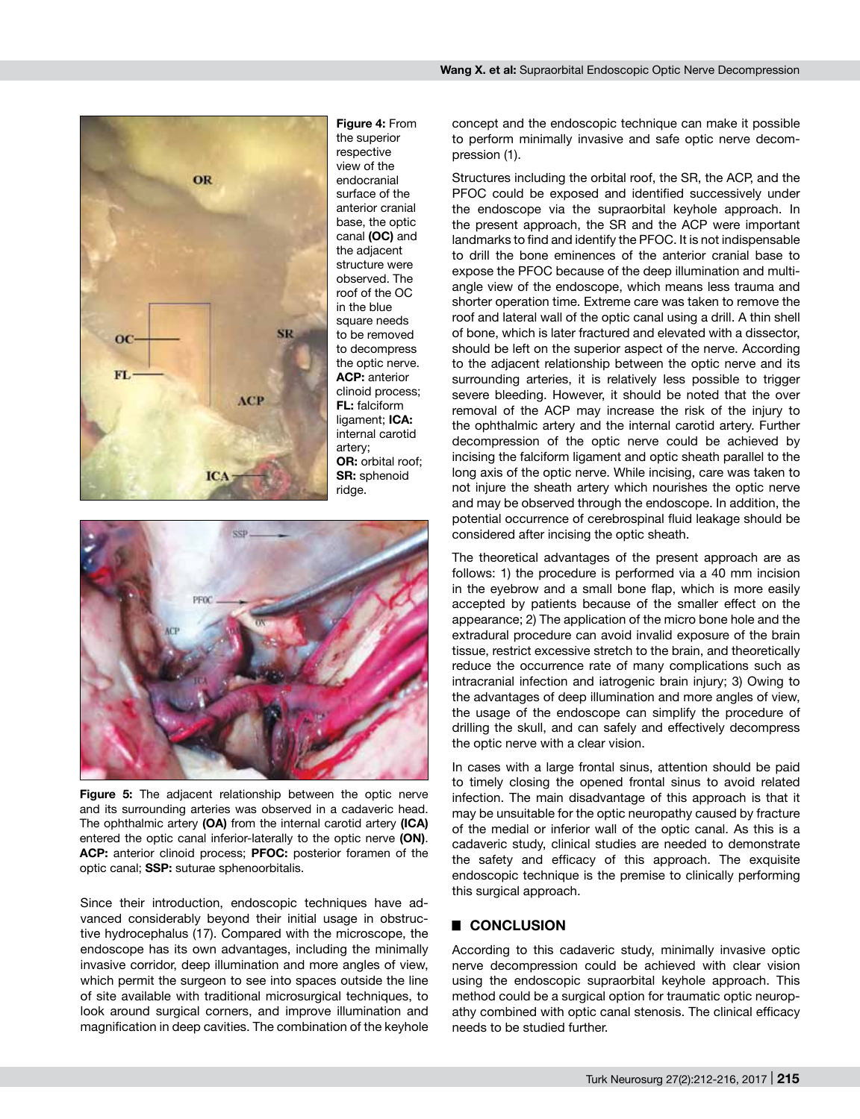

**Figure 4:** From the superior respective view of the endocranial surface of the anterior cranial base, the optic canal **(OC)** and the adiacent structure were observed. The roof of the OC in the blue square needs to be removed to decompress the optic nerve. **ACP:** anterior clinoid process; **FL:** falciform ligament; **ICA:**  internal carotid artery; **OR:** orbital roof; **SR:** sphenoid



**Figure 5:** The adjacent relationship between the optic nerve and its surrounding arteries was observed in a cadaveric head. The ophthalmic artery **(OA)** from the internal carotid artery **(ICA)**  entered the optic canal inferior-laterally to the optic nerve **(ON)**. **ACP:** anterior clinoid process; **PFOC:** posterior foramen of the optic canal; **SSP:** suturae sphenoorbitalis.

Since their introduction, endoscopic techniques have advanced considerably beyond their initial usage in obstructive hydrocephalus (17). Compared with the microscope, the endoscope has its own advantages, including the minimally invasive corridor, deep illumination and more angles of view, which permit the surgeon to see into spaces outside the line of site available with traditional microsurgical techniques, to look around surgical corners, and improve illumination and magnification in deep cavities. The combination of the keyhole concept and the endoscopic technique can make it possible to perform minimally invasive and safe optic nerve decompression (1).

Structures including the orbital roof, the SR, the ACP, and the PFOC could be exposed and identified successively under the endoscope via the supraorbital keyhole approach. In the present approach, the SR and the ACP were important landmarks to find and identify the PFOC. It is not indispensable to drill the bone eminences of the anterior cranial base to expose the PFOC because of the deep illumination and multiangle view of the endoscope, which means less trauma and shorter operation time. Extreme care was taken to remove the roof and lateral wall of the optic canal using a drill. A thin shell of bone, which is later fractured and elevated with a dissector, should be left on the superior aspect of the nerve. According to the adjacent relationship between the optic nerve and its surrounding arteries, it is relatively less possible to trigger severe bleeding. However, it should be noted that the over removal of the ACP may increase the risk of the injury to the ophthalmic artery and the internal carotid artery. Further decompression of the optic nerve could be achieved by incising the falciform ligament and optic sheath parallel to the long axis of the optic nerve. While incising, care was taken to not injure the sheath artery which nourishes the optic nerve and may be observed through the endoscope. In addition, the potential occurrence of cerebrospinal fluid leakage should be considered after incising the optic sheath.

The theoretical advantages of the present approach are as follows: 1) the procedure is performed via a 40 mm incision in the eyebrow and a small bone flap, which is more easily accepted by patients because of the smaller effect on the appearance; 2) The application of the micro bone hole and the extradural procedure can avoid invalid exposure of the brain tissue, restrict excessive stretch to the brain, and theoretically reduce the occurrence rate of many complications such as intracranial infection and iatrogenic brain injury; 3) Owing to the advantages of deep illumination and more angles of view, the usage of the endoscope can simplify the procedure of drilling the skull, and can safely and effectively decompress the optic nerve with a clear vision.

In cases with a large frontal sinus, attention should be paid to timely closing the opened frontal sinus to avoid related infection. The main disadvantage of this approach is that it may be unsuitable for the optic neuropathy caused by fracture of the medial or inferior wall of the optic canal. As this is a cadaveric study, clinical studies are needed to demonstrate the safety and efficacy of this approach. The exquisite endoscopic technique is the premise to clinically performing this surgical approach.

#### █ **CONCLUSION**

According to this cadaveric study, minimally invasive optic nerve decompression could be achieved with clear vision using the endoscopic supraorbital keyhole approach. This method could be a surgical option for traumatic optic neuropathy combined with optic canal stenosis. The clinical efficacy needs to be studied further.